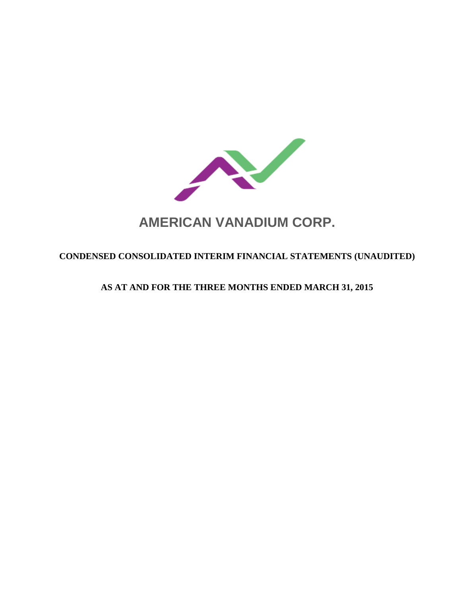

# **AMERICAN VANADIUM CORP.**

# **CONDENSED CONSOLIDATED INTERIM FINANCIAL STATEMENTS (UNAUDITED)**

# **AS AT AND FOR THE THREE MONTHS ENDED MARCH 31, 2015**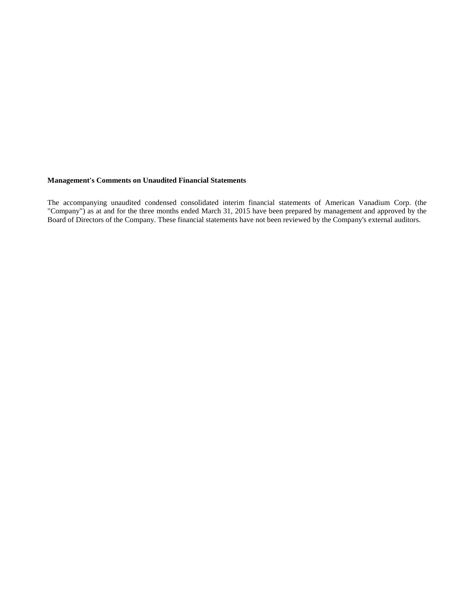#### **Management's Comments on Unaudited Financial Statements**

The accompanying unaudited condensed consolidated interim financial statements of American Vanadium Corp. (the "Company") as at and for the three months ended March 31, 2015 have been prepared by management and approved by the Board of Directors of the Company. These financial statements have not been reviewed by the Company's external auditors.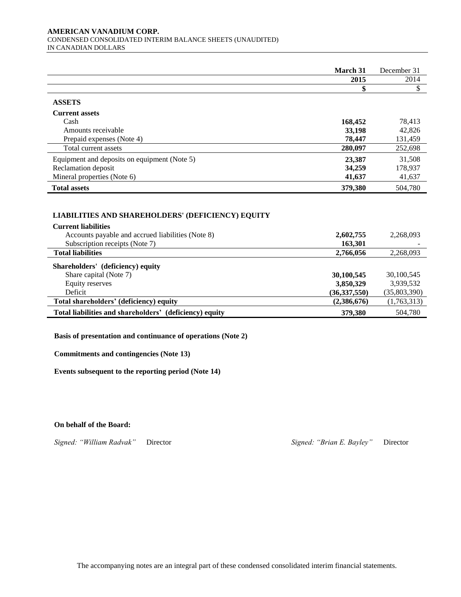#### **AMERICAN VANADIUM CORP.**  CONDENSED CONSOLIDATED INTERIM BALANCE SHEETS (UNAUDITED) IN CANADIAN DOLLARS

|                                              | March 31 | December 31 |
|----------------------------------------------|----------|-------------|
|                                              | 2015     | 2014        |
|                                              |          |             |
| <b>ASSETS</b>                                |          |             |
| <b>Current assets</b>                        |          |             |
| Cash                                         | 168,452  | 78,413      |
| Amounts receivable                           | 33,198   | 42,826      |
| Prepaid expenses (Note 4)                    | 78,447   | 131,459     |
| Total current assets                         | 280,097  | 252,698     |
| Equipment and deposits on equipment (Note 5) | 23,387   | 31,508      |
| Reclamation deposit                          | 34,259   | 178,937     |
| Mineral properties (Note 6)                  | 41,637   | 41,637      |
| <b>Total assets</b>                          | 379,380  | 504,780     |

# **LIABILITIES AND SHAREHOLDERS' (DEFICIENCY) EQUITY LIABILITIES AND SHAREHOLDERS' EQUITY**

| <b>Current liabilities</b>                              |              |              |
|---------------------------------------------------------|--------------|--------------|
| Accounts payable and accrued liabilities (Note 8)       | 2,602,755    | 2,268,093    |
| Subscription receipts (Note 7)                          | 163,301      |              |
| <b>Total liabilities</b>                                | 2,766,056    | 2,268,093    |
| Shareholders' (deficiency) equity                       |              |              |
| Share capital (Note 7)                                  | 30,100,545   | 30,100,545   |
| Equity reserves                                         | 3,850,329    | 3,939,532    |
| Deficit                                                 | (36,337,550) | (35,803,390) |
| Total shareholders' (deficiency) equity                 | (2,386,676)  | (1,763,313)  |
| Total liabilities and shareholders' (deficiency) equity | 379,380      | 504,780      |

**Basis of presentation and continuance of operations (Note 2)**

**Commitments and contingencies (Note 13)**

**Events subsequent to the reporting period (Note 14)**

**On behalf of the Board:**

*Signed: "William Radvak"* Director *Signed: "Brian E. Bayley"* Director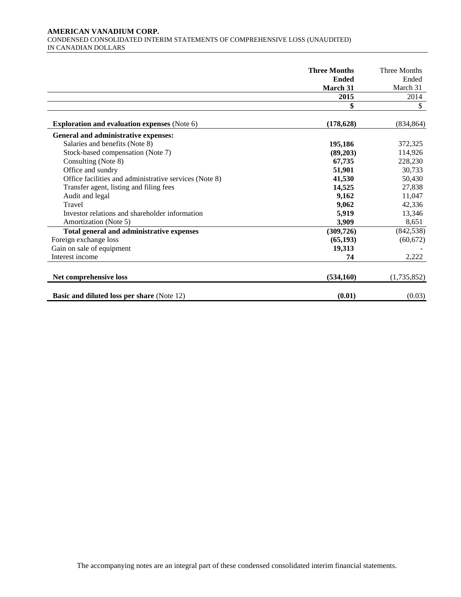#### **AMERICAN VANADIUM CORP.**  CONDENSED CONSOLIDATED INTERIM STATEMENTS OF COMPREHENSIVE LOSS (UNAUDITED) IN CANADIAN DOLLARS

|                                                        | <b>Three Months</b> | Three Months |
|--------------------------------------------------------|---------------------|--------------|
|                                                        | <b>Ended</b>        | Ended        |
|                                                        | March 31            | March 31     |
|                                                        | 2015                | 2014         |
|                                                        | \$                  | \$           |
| <b>Exploration and evaluation expenses (Note 6)</b>    | (178, 628)          | (834, 864)   |
| General and administrative expenses:                   |                     |              |
| Salaries and benefits (Note 8)                         | 195,186             | 372,325      |
| Stock-based compensation (Note 7)                      | (89,203)            | 114,926      |
| Consulting (Note 8)                                    | 67,735              | 228,230      |
| Office and sundry                                      | 51,901              | 30,733       |
| Office facilities and administrative services (Note 8) | 41,530              | 50,430       |
| Transfer agent, listing and filing fees                | 14,525              | 27,838       |
| Audit and legal                                        | 9,162               | 11,047       |
| Travel                                                 | 9,062               | 42,336       |
| Investor relations and shareholder information         | 5,919               | 13,346       |
| Amortization (Note 5)                                  | 3,909               | 8,651        |
| Total general and administrative expenses              | (309, 726)          | (842, 538)   |
| Foreign exchange loss                                  | (65, 193)           | (60, 672)    |
| Gain on sale of equipment                              | 19,313              |              |
| Interest income                                        | 74                  | 2,222        |
| Net comprehensive loss                                 | (534,160)           | (1,735,852)  |
| <b>Basic and diluted loss per share (Note 12)</b>      | (0.01)              | (0.03)       |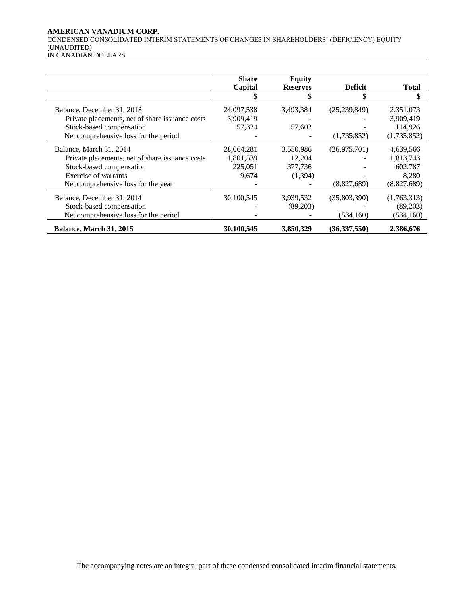# **AMERICAN VANADIUM CORP.**

CONDENSED CONSOLIDATED INTERIM STATEMENTS OF CHANGES IN SHAREHOLDERS' (DEFICIENCY) EQUITY (UNAUDITED)

| IN CANADIAN DOLLARS |
|---------------------|

|                                                 | <b>Share</b> | <b>Equity</b>   |                |              |
|-------------------------------------------------|--------------|-----------------|----------------|--------------|
|                                                 | Capital      | <b>Reserves</b> | <b>Deficit</b> | <b>Total</b> |
|                                                 |              |                 | \$             | \$           |
| Balance, December 31, 2013                      | 24,097,538   | 3,493,384       | (25, 239, 849) | 2,351,073    |
| Private placements, net of share issuance costs | 3,909,419    |                 |                | 3,909,419    |
| Stock-based compensation                        | 57,324       | 57,602          |                | 114,926      |
| Net comprehensive loss for the period           |              |                 | (1,735,852)    | (1,735,852)  |
| Balance, March 31, 2014                         | 28,064,281   | 3,550,986       | (26,975,701)   | 4,639,566    |
| Private placements, net of share issuance costs | 1,801,539    | 12,204          |                | 1,813,743    |
| Stock-based compensation                        | 225,051      | 377,736         |                | 602,787      |
| Exercise of warrants                            | 9,674        | (1, 394)        |                | 8,280        |
| Net comprehensive loss for the year             |              |                 | (8,827,689)    | (8,827,689)  |
| Balance, December 31, 2014                      | 30,100,545   | 3,939,532       | (35,803,390)   | (1,763,313)  |
| Stock-based compensation                        |              | (89,203)        |                | (89,203)     |
| Net comprehensive loss for the period           |              |                 | (534,160)      | (534, 160)   |
| Balance, March 31, 2015                         | 30,100,545   | 3,850,329       | (36, 337, 550) | 2,386,676    |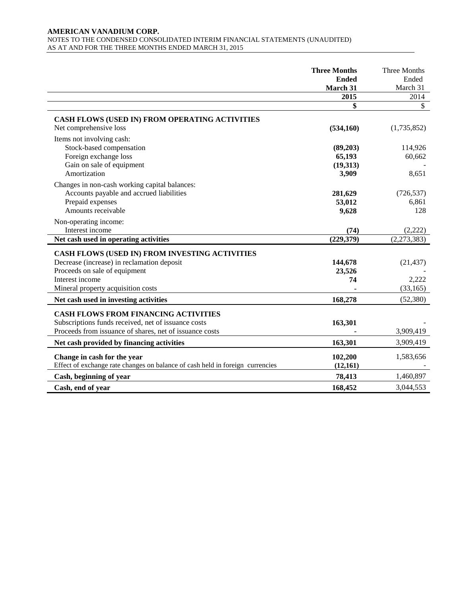#### **AMERICAN VANADIUM CORP.**  NOTES TO THE CONDENSED CONSOLIDATED INTERIM FINANCIAL STATEMENTS (UNAUDITED) AS AT AND FOR THE THREE MONTHS ENDED MARCH 31, 2015

|                                                                                                                                                                                        | <b>Three Months</b><br><b>Ended</b><br>March 31 | Three Months<br>Ended<br>March 31 |
|----------------------------------------------------------------------------------------------------------------------------------------------------------------------------------------|-------------------------------------------------|-----------------------------------|
|                                                                                                                                                                                        | 2015                                            | 2014                              |
|                                                                                                                                                                                        | \$                                              | \$                                |
| CASH FLOWS (USED IN) FROM OPERATING ACTIVITIES<br>Net comprehensive loss                                                                                                               | (534, 160)                                      | (1,735,852)                       |
| Items not involving cash:<br>Stock-based compensation<br>Foreign exchange loss<br>Gain on sale of equipment<br>Amortization                                                            | (89,203)<br>65,193<br>(19,313)<br>3,909         | 114,926<br>60,662<br>8,651        |
| Changes in non-cash working capital balances:<br>Accounts payable and accrued liabilities<br>Prepaid expenses<br>Amounts receivable                                                    | 281,629<br>53,012<br>9,628                      | (726, 537)<br>6,861<br>128        |
| Non-operating income:<br>Interest income<br>Net cash used in operating activities                                                                                                      | (74)<br>(229, 379)                              | (2,222)<br>(2,273,383)            |
| CASH FLOWS (USED IN) FROM INVESTING ACTIVITIES<br>Decrease (increase) in reclamation deposit<br>Proceeds on sale of equipment<br>Interest income<br>Mineral property acquisition costs | 144,678<br>23,526<br>74                         | (21, 437)<br>2,222<br>(33,165)    |
| Net cash used in investing activities                                                                                                                                                  | 168,278                                         | (52, 380)                         |
| <b>CASH FLOWS FROM FINANCING ACTIVITIES</b><br>Subscriptions funds received, net of issuance costs<br>Proceeds from issuance of shares, net of issuance costs                          | 163,301                                         | 3,909,419                         |
| Net cash provided by financing activities                                                                                                                                              | 163,301                                         | 3,909,419                         |
| Change in cash for the year<br>Effect of exchange rate changes on balance of cash held in foreign currencies                                                                           | 102,200<br>(12,161)                             | 1,583,656                         |
| Cash, beginning of year                                                                                                                                                                | 78,413                                          | 1,460,897                         |
| Cash, end of year                                                                                                                                                                      | 168,452                                         | 3,044,553                         |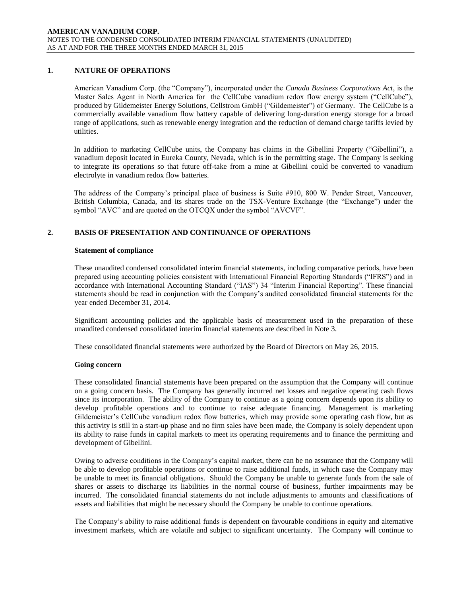# **1. NATURE OF OPERATIONS**

American Vanadium Corp. (the "Company"), incorporated under the *Canada Business Corporations Act*, is the Master Sales Agent in North America for the CellCube vanadium redox flow energy system ("CellCube"), produced by Gildemeister Energy Solutions, Cellstrom GmbH ("Gildemeister") of Germany. The CellCube is a commercially available vanadium flow battery capable of delivering long-duration energy storage for a broad range of applications, such as renewable energy integration and the reduction of demand charge tariffs levied by utilities.

In addition to marketing CellCube units, the Company has claims in the Gibellini Property ("Gibellini"), a vanadium deposit located in Eureka County, Nevada, which is in the permitting stage. The Company is seeking to integrate its operations so that future off-take from a mine at Gibellini could be converted to vanadium electrolyte in vanadium redox flow batteries.

The address of the Company's principal place of business is Suite #910, 800 W. Pender Street, Vancouver, British Columbia, Canada, and its shares trade on the TSX-Venture Exchange (the "Exchange") under the symbol "AVC" and are quoted on the OTCQX under the symbol "AVCVF".

### **2. BASIS OF PRESENTATION AND CONTINUANCE OF OPERATIONS**

#### **Statement of compliance**

These unaudited condensed consolidated interim financial statements, including comparative periods, have been prepared using accounting policies consistent with International Financial Reporting Standards ("IFRS") and in accordance with International Accounting Standard ("IAS") 34 "Interim Financial Reporting". These financial statements should be read in conjunction with the Company's audited consolidated financial statements for the year ended December 31, 2014.

Significant accounting policies and the applicable basis of measurement used in the preparation of these unaudited condensed consolidated interim financial statements are described in Note 3.

These consolidated financial statements were authorized by the Board of Directors on May 26, 2015.

#### **Going concern**

These consolidated financial statements have been prepared on the assumption that the Company will continue on a going concern basis. The Company has generally incurred net losses and negative operating cash flows since its incorporation. The ability of the Company to continue as a going concern depends upon its ability to develop profitable operations and to continue to raise adequate financing. Management is marketing Gildemeister's CellCube vanadium redox flow batteries, which may provide some operating cash flow, but as this activity is still in a start-up phase and no firm sales have been made, the Company is solely dependent upon its ability to raise funds in capital markets to meet its operating requirements and to finance the permitting and development of Gibellini.

Owing to adverse conditions in the Company's capital market, there can be no assurance that the Company will be able to develop profitable operations or continue to raise additional funds, in which case the Company may be unable to meet its financial obligations. Should the Company be unable to generate funds from the sale of shares or assets to discharge its liabilities in the normal course of business, further impairments may be incurred. The consolidated financial statements do not include adjustments to amounts and classifications of assets and liabilities that might be necessary should the Company be unable to continue operations.

The Company's ability to raise additional funds is dependent on favourable conditions in equity and alternative investment markets, which are volatile and subject to significant uncertainty. The Company will continue to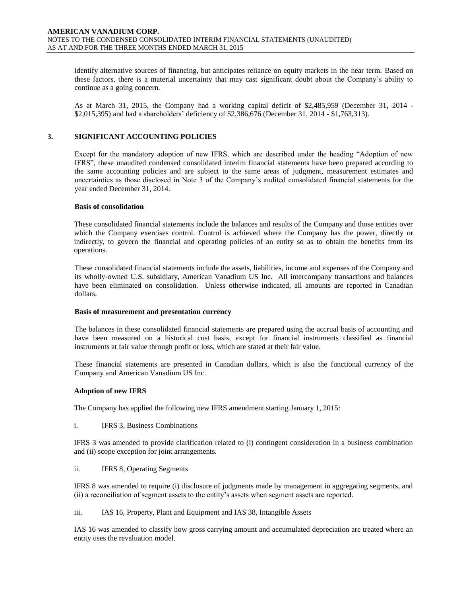identify alternative sources of financing, but anticipates reliance on equity markets in the near term. Based on these factors, there is a material uncertainty that may cast significant doubt about the Company's ability to continue as a going concern.

As at March 31, 2015, the Company had a working capital deficit of \$2,485,959 (December 31, 2014 - \$2,015,395) and had a shareholders' deficiency of \$2,386,676 (December 31, 2014 - \$1,763,313).

### **3. SIGNIFICANT ACCOUNTING POLICIES**

Except for the mandatory adoption of new IFRS, which are described under the heading "Adoption of new IFRS", these unaudited condensed consolidated interim financial statements have been prepared according to the same accounting policies and are subject to the same areas of judgment, measurement estimates and uncertainties as those disclosed in Note 3 of the Company's audited consolidated financial statements for the year ended December 31, 2014.

#### **Basis of consolidation**

These consolidated financial statements include the balances and results of the Company and those entities over which the Company exercises control. Control is achieved where the Company has the power, directly or indirectly, to govern the financial and operating policies of an entity so as to obtain the benefits from its operations.

These consolidated financial statements include the assets, liabilities, income and expenses of the Company and its wholly-owned U.S. subsidiary, American Vanadium US Inc. All intercompany transactions and balances have been eliminated on consolidation. Unless otherwise indicated, all amounts are reported in Canadian dollars.

#### **Basis of measurement and presentation currency**

The balances in these consolidated financial statements are prepared using the accrual basis of accounting and have been measured on a historical cost basis, except for financial instruments classified as financial instruments at fair value through profit or loss, which are stated at their fair value.

These financial statements are presented in Canadian dollars, which is also the functional currency of the Company and American Vanadium US Inc.

#### **Adoption of new IFRS**

The Company has applied the following new IFRS amendment starting January 1, 2015:

i. IFRS 3, Business Combinations

IFRS 3 was amended to provide clarification related to (i) contingent consideration in a business combination and (ii) scope exception for joint arrangements.

ii. IFRS 8, Operating Segments

IFRS 8 was amended to require (i) disclosure of judgments made by management in aggregating segments, and (ii) a reconciliation of segment assets to the entity's assets when segment assets are reported.

iii. IAS 16, Property, Plant and Equipment and IAS 38, Intangible Assets

IAS 16 was amended to classify how gross carrying amount and accumulated depreciation are treated where an entity uses the revaluation model.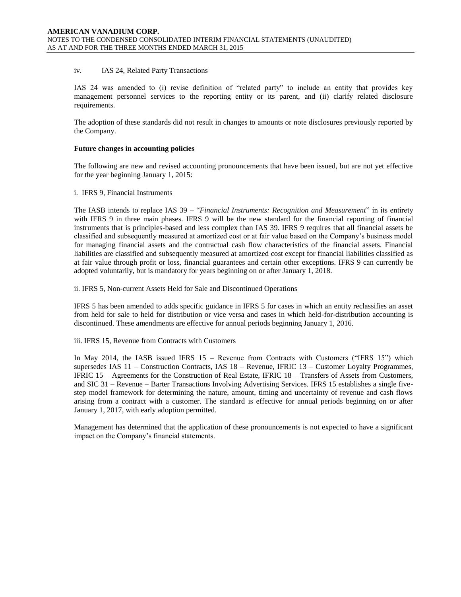#### iv. IAS 24, Related Party Transactions

IAS 24 was amended to (i) revise definition of "related party" to include an entity that provides key management personnel services to the reporting entity or its parent, and (ii) clarify related disclosure requirements.

The adoption of these standards did not result in changes to amounts or note disclosures previously reported by the Company.

#### **Future changes in accounting policies**

The following are new and revised accounting pronouncements that have been issued, but are not yet effective for the year beginning January 1, 2015:

#### i. IFRS 9, Financial Instruments

The IASB intends to replace IAS 39 – "*Financial Instruments: Recognition and Measurement*" in its entirety with IFRS 9 in three main phases. IFRS 9 will be the new standard for the financial reporting of financial instruments that is principles-based and less complex than IAS 39. IFRS 9 requires that all financial assets be classified and subsequently measured at amortized cost or at fair value based on the Company's business model for managing financial assets and the contractual cash flow characteristics of the financial assets. Financial liabilities are classified and subsequently measured at amortized cost except for financial liabilities classified as at fair value through profit or loss, financial guarantees and certain other exceptions. IFRS 9 can currently be adopted voluntarily, but is mandatory for years beginning on or after January 1, 2018.

ii. IFRS 5, Non-current Assets Held for Sale and Discontinued Operations

IFRS 5 has been amended to adds specific guidance in IFRS 5 for cases in which an entity reclassifies an asset from held for sale to held for distribution or vice versa and cases in which held-for-distribution accounting is discontinued. These amendments are effective for annual periods beginning January 1, 2016.

iii. IFRS 15, Revenue from Contracts with Customers

In May 2014, the IASB issued IFRS 15 – Revenue from Contracts with Customers ("IFRS 15") which supersedes IAS 11 – Construction Contracts, IAS 18 – Revenue, IFRIC 13 – Customer Loyalty Programmes, IFRIC 15 – Agreements for the Construction of Real Estate, IFRIC 18 – Transfers of Assets from Customers, and SIC 31 – Revenue – Barter Transactions Involving Advertising Services. IFRS 15 establishes a single fivestep model framework for determining the nature, amount, timing and uncertainty of revenue and cash flows arising from a contract with a customer. The standard is effective for annual periods beginning on or after January 1, 2017, with early adoption permitted.

Management has determined that the application of these pronouncements is not expected to have a significant impact on the Company's financial statements.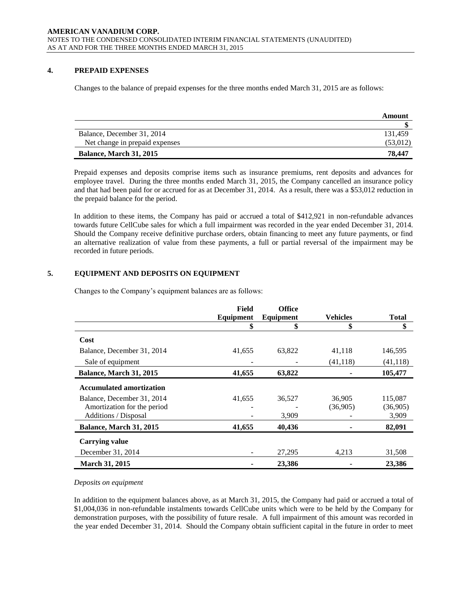# **4. PREPAID EXPENSES**

Changes to the balance of prepaid expenses for the three months ended March 31, 2015 are as follows:

|                                | Amount   |
|--------------------------------|----------|
|                                |          |
| Balance, December 31, 2014     | 131.459  |
| Net change in prepaid expenses | (53,012) |
| <b>Balance, March 31, 2015</b> | 78.447   |

Prepaid expenses and deposits comprise items such as insurance premiums, rent deposits and advances for employee travel. During the three months ended March 31, 2015, the Company cancelled an insurance policy and that had been paid for or accrued for as at December 31, 2014. As a result, there was a \$53,012 reduction in the prepaid balance for the period.

In addition to these items, the Company has paid or accrued a total of \$412,921 in non-refundable advances towards future CellCube sales for which a full impairment was recorded in the year ended December 31, 2014. Should the Company receive definitive purchase orders, obtain financing to meet any future payments, or find an alternative realization of value from these payments, a full or partial reversal of the impairment may be recorded in future periods.

# **5. EQUIPMENT AND DEPOSITS ON EQUIPMENT**

Changes to the Company's equipment balances are as follows:

|                                 | Field     | <b>Office</b> |           |              |
|---------------------------------|-----------|---------------|-----------|--------------|
|                                 | Equipment | Equipment     | Vehicles  | <b>Total</b> |
|                                 | \$        | \$            | \$        | \$           |
| Cost                            |           |               |           |              |
| Balance, December 31, 2014      | 41,655    | 63,822        | 41,118    | 146,595      |
| Sale of equipment               |           |               | (41, 118) | (41, 118)    |
| <b>Balance, March 31, 2015</b>  | 41,655    | 63,822        |           | 105,477      |
| <b>Accumulated amortization</b> |           |               |           |              |
| Balance, December 31, 2014      | 41,655    | 36,527        | 36,905    | 115,087      |
| Amortization for the period     |           |               | (36,905)  | (36,905)     |
| Additions / Disposal            |           | 3,909         |           | 3,909        |
| Balance, March 31, 2015         | 41,655    | 40,436        |           | 82,091       |
| <b>Carrying value</b>           |           |               |           |              |
| December 31, 2014               |           | 27,295        | 4,213     | 31,508       |
| March 31, 2015                  |           | 23,386        |           | 23,386       |

#### *Deposits on equipment*

In addition to the equipment balances above, as at March 31, 2015, the Company had paid or accrued a total of \$1,004,036 in non-refundable instalments towards CellCube units which were to be held by the Company for demonstration purposes, with the possibility of future resale. A full impairment of this amount was recorded in the year ended December 31, 2014. Should the Company obtain sufficient capital in the future in order to meet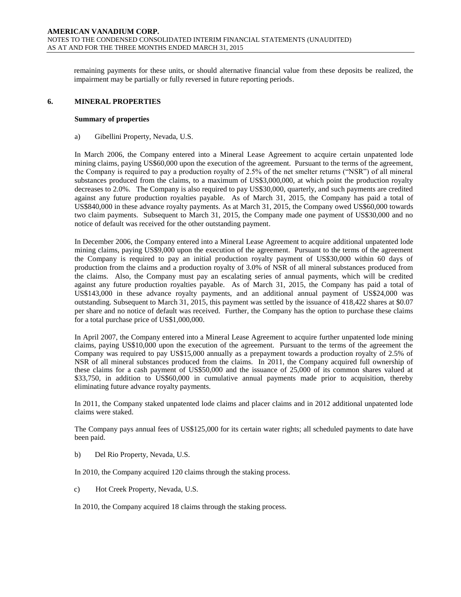remaining payments for these units, or should alternative financial value from these deposits be realized, the impairment may be partially or fully reversed in future reporting periods.

#### **6. MINERAL PROPERTIES**

#### **Summary of properties**

a) Gibellini Property, Nevada, U.S.

In March 2006, the Company entered into a Mineral Lease Agreement to acquire certain unpatented lode mining claims, paying US\$60,000 upon the execution of the agreement. Pursuant to the terms of the agreement, the Company is required to pay a production royalty of 2.5% of the net smelter returns ("NSR") of all mineral substances produced from the claims, to a maximum of US\$3,000,000, at which point the production royalty decreases to 2.0%. The Company is also required to pay US\$30,000, quarterly, and such payments are credited against any future production royalties payable. As of March 31, 2015, the Company has paid a total of US\$840,000 in these advance royalty payments. As at March 31, 2015, the Company owed US\$60,000 towards two claim payments. Subsequent to March 31, 2015, the Company made one payment of US\$30,000 and no notice of default was received for the other outstanding payment.

In December 2006, the Company entered into a Mineral Lease Agreement to acquire additional unpatented lode mining claims, paying US\$9,000 upon the execution of the agreement. Pursuant to the terms of the agreement the Company is required to pay an initial production royalty payment of US\$30,000 within 60 days of production from the claims and a production royalty of 3.0% of NSR of all mineral substances produced from the claims. Also, the Company must pay an escalating series of annual payments, which will be credited against any future production royalties payable. As of March 31, 2015, the Company has paid a total of US\$143,000 in these advance royalty payments, and an additional annual payment of US\$24,000 was outstanding. Subsequent to March 31, 2015, this payment was settled by the issuance of 418,422 shares at \$0.07 per share and no notice of default was received. Further, the Company has the option to purchase these claims for a total purchase price of US\$1,000,000.

In April 2007, the Company entered into a Mineral Lease Agreement to acquire further unpatented lode mining claims, paying US\$10,000 upon the execution of the agreement. Pursuant to the terms of the agreement the Company was required to pay US\$15,000 annually as a prepayment towards a production royalty of 2.5% of NSR of all mineral substances produced from the claims. In 2011, the Company acquired full ownership of these claims for a cash payment of US\$50,000 and the issuance of 25,000 of its common shares valued at \$33,750, in addition to US\$60,000 in cumulative annual payments made prior to acquisition, thereby eliminating future advance royalty payments.

In 2011, the Company staked unpatented lode claims and placer claims and in 2012 additional unpatented lode claims were staked.

The Company pays annual fees of US\$125,000 for its certain water rights; all scheduled payments to date have been paid.

b) Del Rio Property, Nevada, U.S.

In 2010, the Company acquired 120 claims through the staking process.

c) Hot Creek Property, Nevada, U.S.

In 2010, the Company acquired 18 claims through the staking process.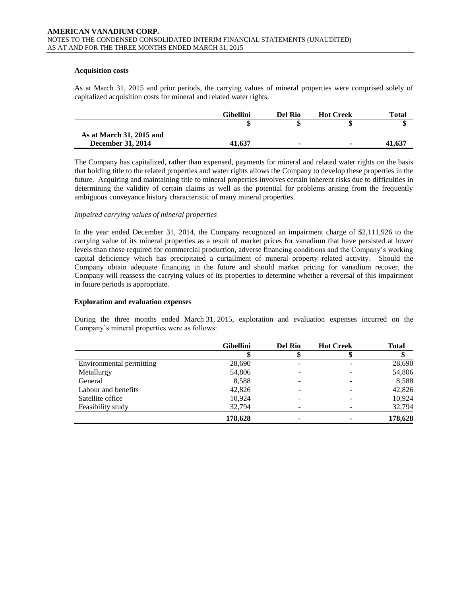#### **Acquisition costs**

As at March 31, 2015 and prior periods, the carrying values of mineral properties were comprised solely of capitalized acquisition costs for mineral and related water rights.

|                          | <b>Gibellini</b> | Del Rio | <b>Hot Creek</b> | <b>Total</b> |
|--------------------------|------------------|---------|------------------|--------------|
|                          |                  |         |                  |              |
| As at March 31, 2015 and |                  |         |                  |              |
| December 31, 2014        | 41,637           | -       |                  | 41.637       |

The Company has capitalized, rather than expensed, payments for mineral and related water rights on the basis that holding title to the related properties and water rights allows the Company to develop these properties in the future. Acquiring and maintaining title to mineral properties involves certain inherent risks due to difficulties in determining the validity of certain claims as well as the potential for problems arising from the frequently ambiguous conveyance history characteristic of many mineral properties.

#### *Impaired carrying values of mineral properties*

In the year ended December 31, 2014, the Company recognized an impairment charge of \$2,111,926 to the carrying value of its mineral properties as a result of market prices for vanadium that have persisted at lower levels than those required for commercial production, adverse financing conditions and the Company's working capital deficiency which has precipitated a curtailment of mineral property related activity. Should the Company obtain adequate financing in the future and should market pricing for vanadium recover, the Company will reassess the carrying values of its properties to determine whether a reversal of this impairment in future periods is appropriate.

#### **Exploration and evaluation expenses**

During the three months ended March 31, 2015, exploration and evaluation expenses incurred on the Company's mineral properties were as follows:

|                          | <b>Gibellini</b> | <b>Del Rio</b> | <b>Hot Creek</b> | <b>Total</b> |
|--------------------------|------------------|----------------|------------------|--------------|
|                          |                  |                |                  |              |
| Environmental permitting | 28,690           | -              |                  | 28,690       |
| Metallurgy               | 54,806           |                |                  | 54,806       |
| General                  | 8,588            |                |                  | 8,588        |
| Labour and benefits      | 42,826           |                |                  | 42,826       |
| Satellite office         | 10,924           |                |                  | 10,924       |
| Feasibility study        | 32,794           | -              |                  | 32,794       |
|                          | 178,628          | -              |                  | 178,628      |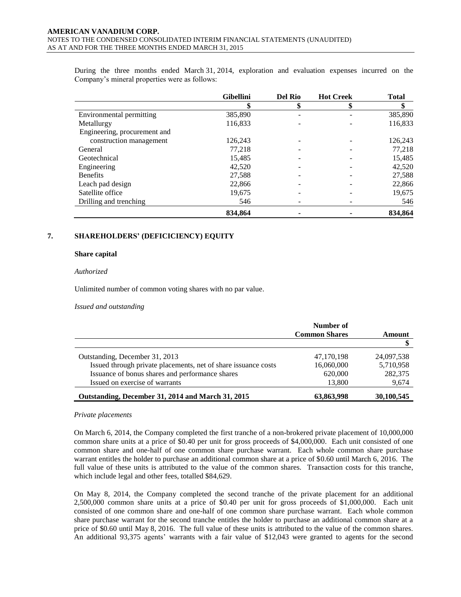During the three months ended March 31, 2014, exploration and evaluation expenses incurred on the Company's mineral properties were as follows:

|                              | <b>Gibellini</b> | <b>Del Rio</b> | <b>Hot Creek</b> | <b>Total</b> |
|------------------------------|------------------|----------------|------------------|--------------|
|                              | \$               | \$             | \$               |              |
| Environmental permitting     | 385,890          |                |                  | 385,890      |
| Metallurgy                   | 116,833          |                |                  | 116,833      |
| Engineering, procurement and |                  |                |                  |              |
| construction management      | 126.243          |                |                  | 126,243      |
| General                      | 77.218           |                |                  | 77,218       |
| Geotechnical                 | 15,485           |                |                  | 15,485       |
| Engineering                  | 42,520           |                |                  | 42,520       |
| <b>Benefits</b>              | 27,588           |                |                  | 27,588       |
| Leach pad design             | 22,866           |                |                  | 22,866       |
| Satellite office             | 19.675           |                |                  | 19,675       |
| Drilling and trenching       | 546              |                |                  | 546          |
|                              | 834.864          |                |                  | 834,864      |

### **7. SHAREHOLDERS' (DEFICICIENCY) EQUITY**

#### **Share capital**

#### *Authorized*

Unlimited number of common voting shares with no par value.

#### *Issued and outstanding*

|                                                                | Number of            |            |
|----------------------------------------------------------------|----------------------|------------|
|                                                                | <b>Common Shares</b> | Amount     |
|                                                                |                      |            |
| Outstanding, December 31, 2013                                 | 47,170,198           | 24,097,538 |
| Issued through private placements, net of share issuance costs | 16,060,000           | 5,710,958  |
| Issuance of bonus shares and performance shares                | 620,000              | 282,375    |
| Issued on exercise of warrants                                 | 13,800               | 9,674      |
| Outstanding, December 31, 2014 and March 31, 2015              | 63,863,998           | 30,100,545 |

#### *Private placements*

On March 6, 2014, the Company completed the first tranche of a non-brokered private placement of 10,000,000 common share units at a price of \$0.40 per unit for gross proceeds of \$4,000,000. Each unit consisted of one common share and one-half of one common share purchase warrant. Each whole common share purchase warrant entitles the holder to purchase an additional common share at a price of \$0.60 until March 6, 2016. The full value of these units is attributed to the value of the common shares. Transaction costs for this tranche, which include legal and other fees, totalled \$84,629.

On May 8, 2014, the Company completed the second tranche of the private placement for an additional 2,500,000 common share units at a price of \$0.40 per unit for gross proceeds of \$1,000,000. Each unit consisted of one common share and one-half of one common share purchase warrant. Each whole common share purchase warrant for the second tranche entitles the holder to purchase an additional common share at a price of \$0.60 until May 8, 2016. The full value of these units is attributed to the value of the common shares. An additional 93,375 agents' warrants with a fair value of \$12,043 were granted to agents for the second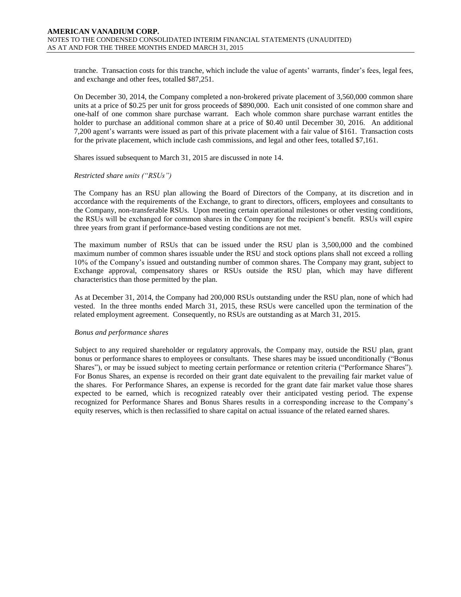tranche. Transaction costs for this tranche, which include the value of agents' warrants, finder's fees, legal fees, and exchange and other fees, totalled \$87,251.

On December 30, 2014, the Company completed a non-brokered private placement of 3,560,000 common share units at a price of \$0.25 per unit for gross proceeds of \$890,000. Each unit consisted of one common share and one-half of one common share purchase warrant. Each whole common share purchase warrant entitles the holder to purchase an additional common share at a price of \$0.40 until December 30, 2016. An additional 7,200 agent's warrants were issued as part of this private placement with a fair value of \$161. Transaction costs for the private placement, which include cash commissions, and legal and other fees, totalled \$7,161.

Shares issued subsequent to March 31, 2015 are discussed in note 14.

#### *Restricted share units ("RSUs")*

The Company has an RSU plan allowing the Board of Directors of the Company, at its discretion and in accordance with the requirements of the Exchange, to grant to directors, officers, employees and consultants to the Company, non-transferable RSUs. Upon meeting certain operational milestones or other vesting conditions, the RSUs will be exchanged for common shares in the Company for the recipient's benefit. RSUs will expire three years from grant if performance-based vesting conditions are not met.

The maximum number of RSUs that can be issued under the RSU plan is 3,500,000 and the combined maximum number of common shares issuable under the RSU and stock options plans shall not exceed a rolling 10% of the Company's issued and outstanding number of common shares. The Company may grant, subject to Exchange approval, compensatory shares or RSUs outside the RSU plan, which may have different characteristics than those permitted by the plan.

As at December 31, 2014, the Company had 200,000 RSUs outstanding under the RSU plan, none of which had vested. In the three months ended March 31, 2015, these RSUs were cancelled upon the termination of the related employment agreement. Consequently, no RSUs are outstanding as at March 31, 2015.

#### *Bonus and performance shares*

Subject to any required shareholder or regulatory approvals, the Company may, outside the RSU plan, grant bonus or performance shares to employees or consultants. These shares may be issued unconditionally ("Bonus Shares"), or may be issued subject to meeting certain performance or retention criteria ("Performance Shares"). For Bonus Shares, an expense is recorded on their grant date equivalent to the prevailing fair market value of the shares. For Performance Shares, an expense is recorded for the grant date fair market value those shares expected to be earned, which is recognized rateably over their anticipated vesting period. The expense recognized for Performance Shares and Bonus Shares results in a corresponding increase to the Company's equity reserves, which is then reclassified to share capital on actual issuance of the related earned shares.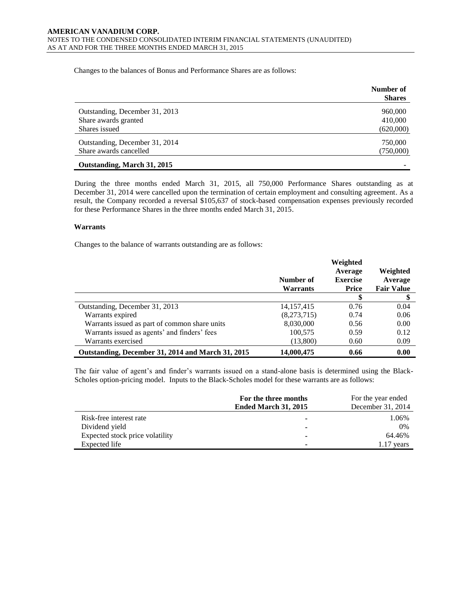Changes to the balances of Bonus and Performance Shares are as follows:

|                                | Number of<br><b>Shares</b> |
|--------------------------------|----------------------------|
| Outstanding, December 31, 2013 | 960,000                    |
| Share awards granted           | 410,000                    |
| Shares issued                  | (620,000)                  |
| Outstanding, December 31, 2014 | 750,000                    |
| Share awards cancelled         | (750,000)                  |
| Outstanding, March 31, 2015    |                            |

During the three months ended March 31, 2015, all 750,000 Performance Shares outstanding as at December 31, 2014 were cancelled upon the termination of certain employment and consulting agreement. As a result, the Company recorded a reversal \$105,637 of stock-based compensation expenses previously recorded for these Performance Shares in the three months ended March 31, 2015.

#### **Warrants**

Changes to the balance of warrants outstanding are as follows:

|                                                   | Number of<br><b>Warrants</b> | Weighted<br>Average<br><b>Exercise</b><br><b>Price</b> | Weighted<br>Average<br><b>Fair Value</b> |
|---------------------------------------------------|------------------------------|--------------------------------------------------------|------------------------------------------|
|                                                   |                              | \$                                                     |                                          |
| Outstanding, December 31, 2013                    | 14, 157, 415                 | 0.76                                                   | 0.04                                     |
| Warrants expired                                  | (8,273,715)                  | 0.74                                                   | 0.06                                     |
| Warrants issued as part of common share units     | 8,030,000                    | 0.56                                                   | 0.00                                     |
| Warrants issued as agents' and finders' fees      | 100,575                      | 0.59                                                   | 0.12                                     |
| Warrants exercised                                | (13,800)                     | 0.60                                                   | 0.09                                     |
| Outstanding, December 31, 2014 and March 31, 2015 | 14,000,475                   | 0.66                                                   | 0.00                                     |

The fair value of agent's and finder's warrants issued on a stand-alone basis is determined using the Black-Scholes option-pricing model. Inputs to the Black-Scholes model for these warrants are as follows:

|                                 | For the three months<br><b>Ended March 31, 2015</b> | For the year ended<br>December 31, 2014 |
|---------------------------------|-----------------------------------------------------|-----------------------------------------|
| Risk-free interest rate         | ۰                                                   | 1.06%                                   |
| Dividend yield                  | $\overline{\phantom{0}}$                            | 0%                                      |
| Expected stock price volatility | $\overline{\phantom{a}}$                            | 64.46%                                  |
| Expected life                   |                                                     | $1.17$ years                            |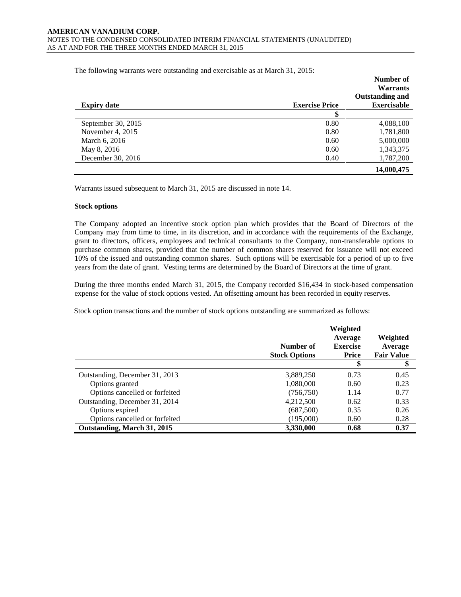The following warrants were outstanding and exercisable as at March 31, 2015:

|                    |                       | Number of<br><b>Warrants</b> |
|--------------------|-----------------------|------------------------------|
|                    |                       | <b>Outstanding and</b>       |
| <b>Expiry date</b> | <b>Exercise Price</b> | <b>Exercisable</b>           |
|                    |                       |                              |
| September 30, 2015 | 0.80                  | 4,088,100                    |
| November 4, 2015   | 0.80                  | 1,781,800                    |
| March 6, 2016      | 0.60                  | 5,000,000                    |
| May 8, 2016        | 0.60                  | 1,343,375                    |
| December 30, 2016  | 0.40                  | 1,787,200                    |
|                    |                       | 14,000,475                   |

Warrants issued subsequent to March 31, 2015 are discussed in note 14.

#### **Stock options**

The Company adopted an incentive stock option plan which provides that the Board of Directors of the Company may from time to time, in its discretion, and in accordance with the requirements of the Exchange, grant to directors, officers, employees and technical consultants to the Company, non-transferable options to purchase common shares, provided that the number of common shares reserved for issuance will not exceed 10% of the issued and outstanding common shares. Such options will be exercisable for a period of up to five years from the date of grant. Vesting terms are determined by the Board of Directors at the time of grant.

During the three months ended March 31, 2015, the Company recorded \$16,434 in stock-based compensation expense for the value of stock options vested. An offsetting amount has been recorded in equity reserves.

Stock option transactions and the number of stock options outstanding are summarized as follows:

|                                | Number of<br><b>Stock Options</b> | Weighted<br>Average<br><b>Exercise</b><br>Price | Weighted<br>Average<br><b>Fair Value</b> |
|--------------------------------|-----------------------------------|-------------------------------------------------|------------------------------------------|
|                                |                                   | \$                                              | \$                                       |
| Outstanding, December 31, 2013 | 3,889,250                         | 0.73                                            | 0.45                                     |
| Options granted                | 1,080,000                         | 0.60                                            | 0.23                                     |
| Options cancelled or forfeited | (756, 750)                        | 1.14                                            | 0.77                                     |
| Outstanding, December 31, 2014 | 4,212,500                         | 0.62                                            | 0.33                                     |
| Options expired                | (687,500)                         | 0.35                                            | 0.26                                     |
| Options cancelled or forfeited | (195,000)                         | 0.60                                            | 0.28                                     |
| Outstanding, March 31, 2015    | 3,330,000                         | 0.68                                            | 0.37                                     |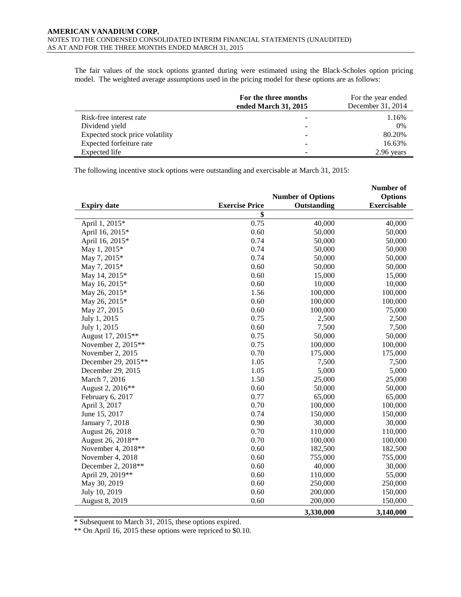The fair values of the stock options granted during were estimated using the Black-Scholes option pricing model. The weighted average assumptions used in the pricing model for these options are as follows:

|                                 | For the three months<br>ended March 31, 2015 | For the year ended<br>December 31, 2014 |
|---------------------------------|----------------------------------------------|-----------------------------------------|
| Risk-free interest rate         |                                              | 1.16%                                   |
| Dividend yield                  |                                              | 0%                                      |
| Expected stock price volatility |                                              | 80.20%                                  |
| Expected forfeiture rate        | ۰                                            | 16.63%                                  |
| Expected life                   |                                              | 2.96 years                              |

The following incentive stock options were outstanding and exercisable at March 31, 2015:

|                     |                       |                          | Number of          |
|---------------------|-----------------------|--------------------------|--------------------|
|                     |                       | <b>Number of Options</b> | <b>Options</b>     |
| <b>Expiry date</b>  | <b>Exercise Price</b> | Outstanding              | <b>Exercisable</b> |
|                     | \$                    |                          |                    |
| April 1, 2015*      | 0.75                  | 40,000                   | 40,000             |
| April 16, 2015*     | 0.60                  | 50,000                   | 50,000             |
| April 16, 2015*     | 0.74                  | 50,000                   | 50,000             |
| May 1, 2015*        | 0.74                  | 50,000                   | 50,000             |
| May 7, 2015*        | 0.74                  | 50,000                   | 50,000             |
| May 7, 2015*        | 0.60                  | 50,000                   | 50,000             |
| May 14, 2015*       | 0.60                  | 15,000                   | 15,000             |
| May 16, 2015*       | 0.60                  | 10,000                   | 10,000             |
| May 26, 2015*       | 1.56                  | 100,000                  | 100,000            |
| May 26, 2015*       | 0.60                  | 100,000                  | 100,000            |
| May 27, 2015        | 0.60                  | 100,000                  | 75,000             |
| July 1, 2015        | 0.75                  | 2,500                    | 2,500              |
| July 1, 2015        | 0.60                  | 7,500                    | 7,500              |
| August 17, 2015**   | 0.75                  | 50,000                   | 50,000             |
| November 2, 2015**  | 0.75                  | 100,000                  | 100,000            |
| November 2, 2015    | 0.70                  | 175,000                  | 175,000            |
| December 29, 2015** | 1.05                  | 7,500                    | 7,500              |
| December 29, 2015   | 1.05                  | 5,000                    | 5,000              |
| March 7, 2016       | 1.50                  | 25,000                   | 25,000             |
| August 2, 2016**    | 0.60                  | 50,000                   | 50,000             |
| February 6, 2017    | 0.77                  | 65,000                   | 65,000             |
| April 3, 2017       | 0.70                  | 100,000                  | 100,000            |
| June 15, 2017       | 0.74                  | 150,000                  | 150,000            |
| January 7, 2018     | 0.90                  | 30,000                   | 30,000             |
| August 26, 2018     | 0.70                  | 110,000                  | 110,000            |
| August 26, 2018**   | 0.70                  | 100,000                  | 100,000            |
| November 4, 2018**  | 0.60                  | 182,500                  | 182,500            |
| November 4, 2018    | 0.60                  | 755,000                  | 755,000            |
| December 2, 2018**  | 0.60                  | 40,000                   | 30,000             |
| April 29, 2019**    | 0.60                  | 110,000                  | 55,000             |
| May 30, 2019        | 0.60                  | 250,000                  | 250,000            |
| July 10, 2019       | 0.60                  | 200,000                  | 150,000            |
| August 8, 2019      | 0.60                  | 200,000                  | 150,000            |
|                     |                       | 3,330,000                | 3,140,000          |

\* Subsequent to March 31, 2015, these options expired.

\*\* On April 16, 2015 these options were repriced to \$0.10.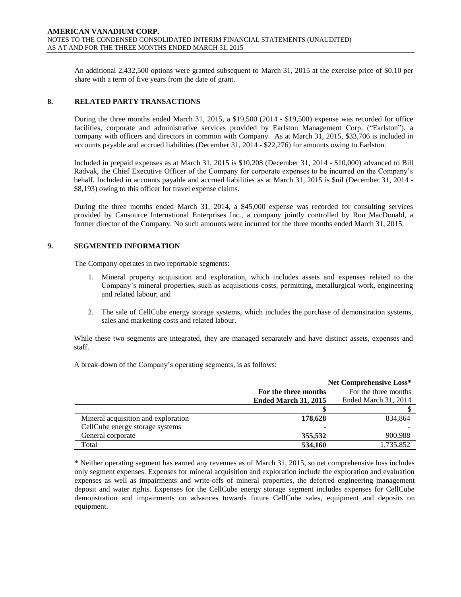An additional 2,432,500 options were granted subsequent to March 31, 2015 at the exercise price of \$0.10 per share with a term of five years from the date of grant.

#### **8. RELATED PARTY TRANSACTIONS**

During the three months ended March 31, 2015, a \$19,500 (2014 - \$19,500) expense was recorded for office facilities, corporate and administrative services provided by Earlston Management Corp. ("Earlston"), a company with officers and directors in common with Company. As at March 31, 2015, \$33,706 is included in accounts payable and accrued liabilities (December 31, 2014 - \$22,276) for amounts owing to Earlston.

Included in prepaid expenses as at March 31, 2015 is \$10,208 (December 31, 2014 - \$10,000) advanced to Bill Radvak, the Chief Executive Officer of the Company for corporate expenses to be incurred on the Company's behalf. Included in accounts payable and accrued liabilities as at March 31, 2015 is \$nil (December 31, 2014 - \$8,193) owing to this officer for travel expense claims.

During the three months ended March 31, 2014, a \$45,000 expense was recorded for consulting services provided by Cansource International Enterprises Inc., a company jointly controlled by Ron MacDonald, a former director of the Company. No such amounts were incurred for the three months ended March 31, 2015.

#### **9. SEGMENTED INFORMATION**

The Company operates in two reportable segments:

- 1. Mineral property acquisition and exploration, which includes assets and expenses related to the Company's mineral properties, such as acquisitions costs, permitting, metallurgical work, engineering and related labour; and
- 2. The sale of CellCube energy storage systems, which includes the purchase of demonstration systems, sales and marketing costs and related labour.

While these two segments are integrated, they are managed separately and have distinct assets, expenses and staff.

A break-down of the Company's operating segments, is as follows:

|                                     |                             | Net Comprehensive Loss* |
|-------------------------------------|-----------------------------|-------------------------|
|                                     | For the three months        | For the three months    |
|                                     | <b>Ended March 31, 2015</b> | Ended March 31, 2014    |
|                                     |                             |                         |
| Mineral acquisition and exploration | 178,628                     | 834,864                 |
| CellCube energy storage systems     |                             |                         |
| General corporate                   | 355,532                     | 900,988                 |
| Total                               | 534,160                     | 1,735,852               |

\* Neither operating segment has earned any revenues as of March 31, 2015, so net comprehensive loss includes only segment expenses. Expenses for mineral acquisition and exploration include the exploration and evaluation expenses as well as impairments and write-offs of mineral properties, the deferred engineering management deposit and water rights. Expenses for the CellCube energy storage segment includes expenses for CellCube demonstration and impairments on advances towards future CellCube sales, equipment and deposits on equipment.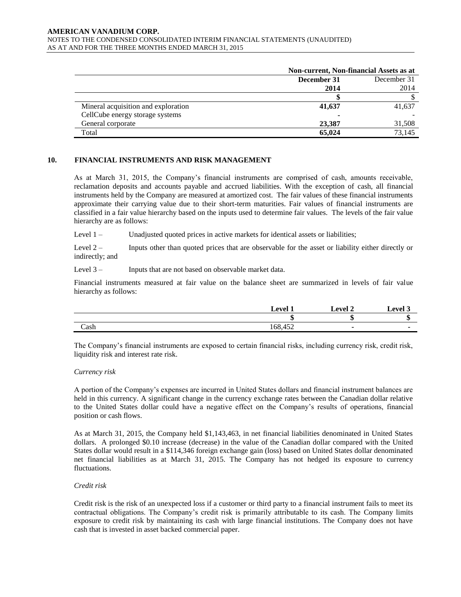#### **AMERICAN VANADIUM CORP.**  NOTES TO THE CONDENSED CONSOLIDATED INTERIM FINANCIAL STATEMENTS (UNAUDITED) AS AT AND FOR THE THREE MONTHS ENDED MARCH 31, 2015

|                                     | Non-current, Non-financial Assets as at |        |  |
|-------------------------------------|-----------------------------------------|--------|--|
|                                     | December 31<br>December 31              |        |  |
|                                     | 2014                                    | 2014   |  |
|                                     |                                         |        |  |
| Mineral acquisition and exploration | 41,637                                  | 41,637 |  |
| CellCube energy storage systems     |                                         |        |  |
| General corporate                   | 23,387                                  | 31.508 |  |
| Total                               | 65,024                                  | 73.145 |  |

#### **10. FINANCIAL INSTRUMENTS AND RISK MANAGEMENT**

As at March 31, 2015, the Company's financial instruments are comprised of cash, amounts receivable, reclamation deposits and accounts payable and accrued liabilities. With the exception of cash, all financial instruments held by the Company are measured at amortized cost. The fair values of these financial instruments approximate their carrying value due to their short-term maturities. Fair values of financial instruments are classified in a fair value hierarchy based on the inputs used to determine fair values. The levels of the fair value hierarchy are as follows:

Level 1 – Unadjusted quoted prices in active markets for identical assets or liabilities;

Level 2 – Inputs other than quoted prices that are observable for the asset or liability either directly or indirectly; and

Level 3 – Inputs that are not based on observable market data.

Financial instruments measured at fair value on the balance sheet are summarized in levels of fair value hierarchy as follows:

|      | avel <sup>-</sup>                            | 1 ام <del>ره</del> ا | 1 امرو، ا |
|------|----------------------------------------------|----------------------|-----------|
|      | ш                                            |                      |           |
| Cash | $\epsilon$<br>$1 - \sim$<br>$-00.4$<br>т. ∠∠ |                      |           |

The Company's financial instruments are exposed to certain financial risks, including currency risk, credit risk, liquidity risk and interest rate risk.

#### *Currency risk*

A portion of the Company's expenses are incurred in United States dollars and financial instrument balances are held in this currency. A significant change in the currency exchange rates between the Canadian dollar relative to the United States dollar could have a negative effect on the Company's results of operations, financial position or cash flows.

As at March 31, 2015, the Company held \$1,143,463, in net financial liabilities denominated in United States dollars. A prolonged \$0.10 increase (decrease) in the value of the Canadian dollar compared with the United States dollar would result in a \$114,346 foreign exchange gain (loss) based on United States dollar denominated net financial liabilities as at March 31, 2015. The Company has not hedged its exposure to currency fluctuations.

#### *Credit risk*

Credit risk is the risk of an unexpected loss if a customer or third party to a financial instrument fails to meet its contractual obligations. The Company's credit risk is primarily attributable to its cash. The Company limits exposure to credit risk by maintaining its cash with large financial institutions. The Company does not have cash that is invested in asset backed commercial paper.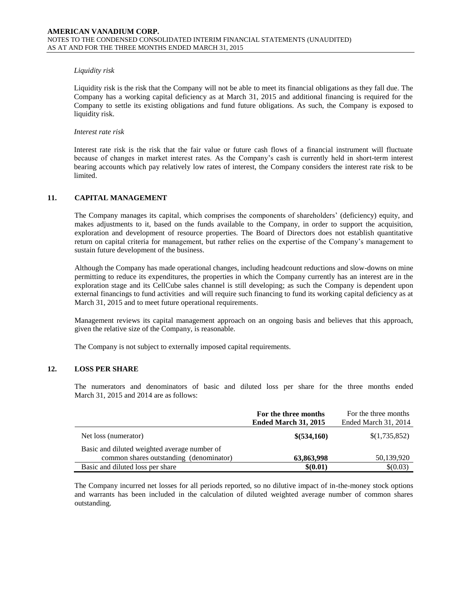#### *Liquidity risk*

Liquidity risk is the risk that the Company will not be able to meet its financial obligations as they fall due. The Company has a working capital deficiency as at March 31, 2015 and additional financing is required for the Company to settle its existing obligations and fund future obligations. As such, the Company is exposed to liquidity risk.

#### *Interest rate risk*

Interest rate risk is the risk that the fair value or future cash flows of a financial instrument will fluctuate because of changes in market interest rates. As the Company's cash is currently held in short-term interest bearing accounts which pay relatively low rates of interest, the Company considers the interest rate risk to be limited.

### **11. CAPITAL MANAGEMENT**

The Company manages its capital, which comprises the components of shareholders' (deficiency) equity, and makes adjustments to it, based on the funds available to the Company, in order to support the acquisition, exploration and development of resource properties. The Board of Directors does not establish quantitative return on capital criteria for management, but rather relies on the expertise of the Company's management to sustain future development of the business.

Although the Company has made operational changes, including headcount reductions and slow-downs on mine permitting to reduce its expenditures, the properties in which the Company currently has an interest are in the exploration stage and its CellCube sales channel is still developing; as such the Company is dependent upon external financings to fund activities and will require such financing to fund its working capital deficiency as at March 31, 2015 and to meet future operational requirements.

Management reviews its capital management approach on an ongoing basis and believes that this approach, given the relative size of the Company, is reasonable.

The Company is not subject to externally imposed capital requirements.

## **12. LOSS PER SHARE**

The numerators and denominators of basic and diluted loss per share for the three months ended March 31, 2015 and 2014 are as follows:

|                                              | For the three months        | For the three months |
|----------------------------------------------|-----------------------------|----------------------|
|                                              | <b>Ended March 31, 2015</b> | Ended March 31, 2014 |
| Net loss (numerator)                         | \$(534,160)                 | \$(1,735,852)        |
| Basic and diluted weighted average number of |                             |                      |
| common shares outstanding (denominator)      | 63,863,998                  | 50,139,920           |
| Basic and diluted loss per share             | \$(0.01)                    | \$(0.03)             |

The Company incurred net losses for all periods reported, so no dilutive impact of in-the-money stock options and warrants has been included in the calculation of diluted weighted average number of common shares outstanding.